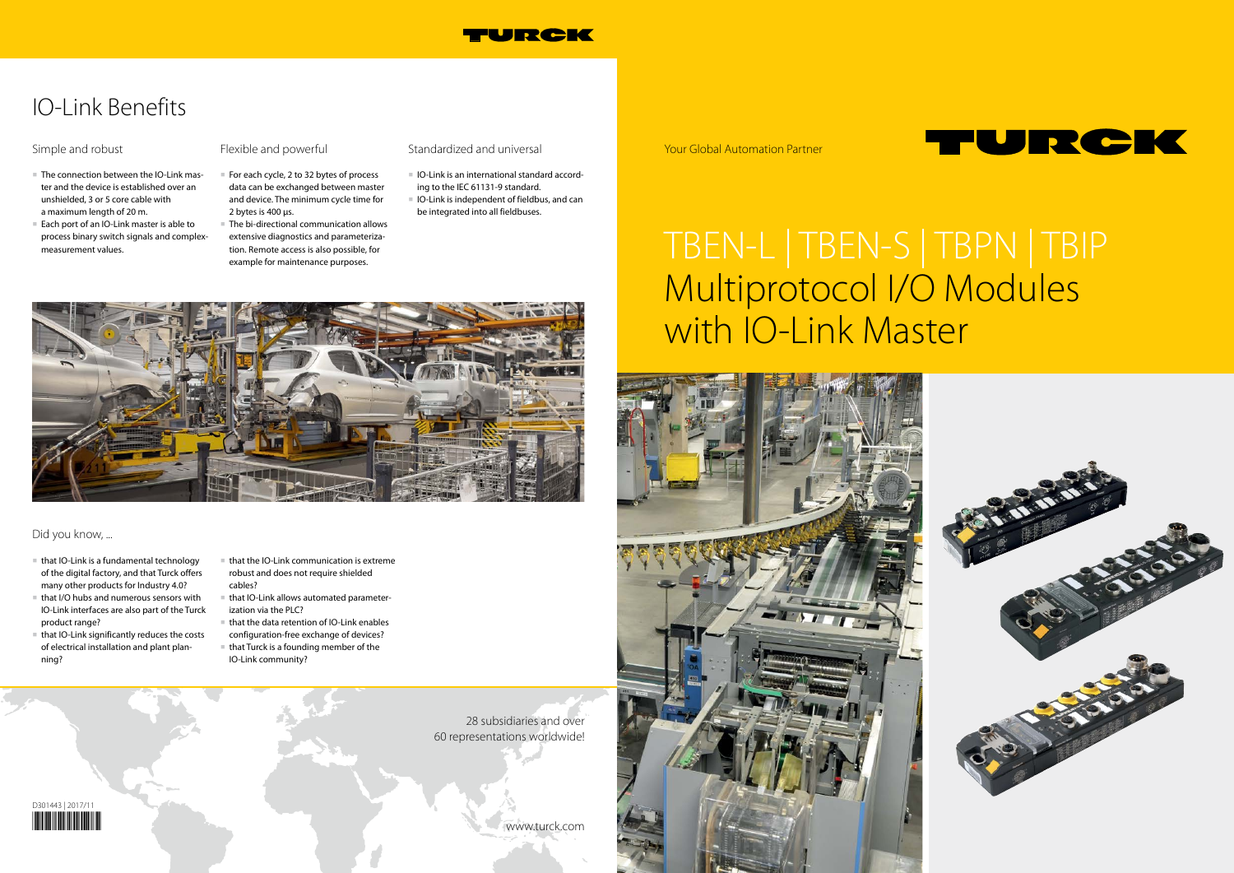Your Global Automation Partner

28 subsidiaries and over 60 representations worldwide!

www.turck.com



#### Did you know, ...



## IO-Link Benefits

# TBEN-L | TBEN-S | TBPN | TBIP Multiprotocol I/O Modules with IO-Link Master







- The connection between the IO-Link master and the device is established over an unshielded, 3 or 5 core cable with a maximum length of 20 m.
- Each port of an IO-Link master is able to process binary switch signals and complexmeasurement values.

#### Simple and robust

- For each cycle, 2 to 32 bytes of process data can be exchanged between master and device. The minimum cycle time for 2 bytes is 400 μs.
- The bi-directional communication allows extensive diagnostics and parameterization. Remote access is also possible, for example for maintenance purposes.
- Standardized and universal
- IO-Link is an international standard according to the IEC 61131-9 standard.
- IO-Link is independent of fieldbus, and can be integrated into all fieldbuses.



- that IO-Link is a fundamental technology of the digital factory, and that Turck offers many other products for Industry 4.0?
- that I/O hubs and numerous sensors with IO-Link interfaces are also part of the Turck product range?
- that IO-Link significantly reduces the costs of electrical installation and plant planning?
- that the IO-Link communication is extreme robust and does not require shielded cables?
- that IO-Link allows automated parameterization via the PLC?
- that the data retention of IO-Link enables configuration-free exchange of devices?
- that Turck is a founding member of the IO-Link community?

#### Flexible and powerful